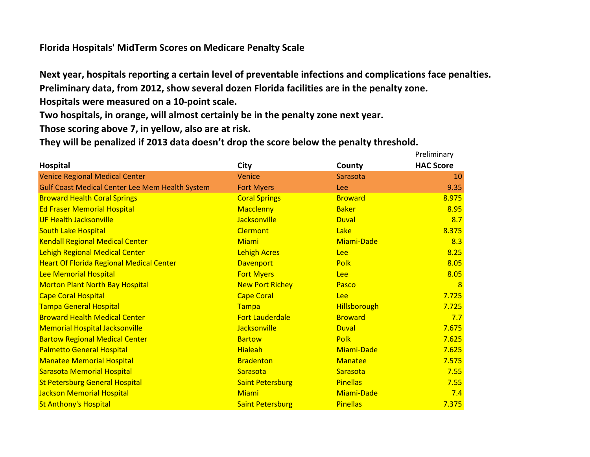## **Florida Hospitals' MidTerm Scores on Medicare Penalty Scale**

**Next year, hospitals reporting a certain level of preventable infections and complications face penalties. Preliminary data, from 2012, show several dozen Florida facilities are in the penalty zone.**

**Hospitals were measured on a 10-point scale.**

**Two hospitals, in orange, will almost certainly be in the penalty zone next year.**

**Those scoring above 7, in yellow, also are at risk.**

**They will be penalized if 2013 data doesn't drop the score below the penalty threshold.**

|                                                        |                         |                     | Preliminary      |
|--------------------------------------------------------|-------------------------|---------------------|------------------|
| <b>Hospital</b>                                        | City                    | County              | <b>HAC Score</b> |
| <b>Venice Regional Medical Center</b>                  | Venice                  | Sarasota            | 10               |
| <b>Gulf Coast Medical Center Lee Mem Health System</b> | <b>Fort Myers</b>       | <b>Lee</b>          | 9.35             |
| <b>Broward Health Coral Springs</b>                    | <b>Coral Springs</b>    | <b>Broward</b>      | 8.975            |
| <b>Ed Fraser Memorial Hospital</b>                     | <b>Macclenny</b>        | <b>Baker</b>        | 8.95             |
| <b>UF Health Jacksonville</b>                          | <b>Jacksonville</b>     | <b>Duval</b>        | 8.7              |
| <b>South Lake Hospital</b>                             | <b>Clermont</b>         | Lake                | 8.375            |
| <b>Kendall Regional Medical Center</b>                 | <b>Miami</b>            | Miami-Dade          | 8.3              |
| <b>Lehigh Regional Medical Center</b>                  | <b>Lehigh Acres</b>     | Lee                 | 8.25             |
| <b>Heart Of Florida Regional Medical Center</b>        | <b>Davenport</b>        | <b>Polk</b>         | 8.05             |
| Lee Memorial Hospital                                  | <b>Fort Myers</b>       | <b>Lee</b>          | 8.05             |
| <b>Morton Plant North Bay Hospital</b>                 | <b>New Port Richey</b>  | Pasco               | $\overline{8}$   |
| <b>Cape Coral Hospital</b>                             | <b>Cape Coral</b>       | <b>Lee</b>          | 7.725            |
| <b>Tampa General Hospital</b>                          | Tampa                   | <b>Hillsborough</b> | 7.725            |
| <b>Broward Health Medical Center</b>                   | <b>Fort Lauderdale</b>  | <b>Broward</b>      | 7.7              |
| <b>Memorial Hospital Jacksonville</b>                  | <b>Jacksonville</b>     | <b>Duval</b>        | 7.675            |
| <b>Bartow Regional Medical Center</b>                  | <b>Bartow</b>           | <b>Polk</b>         | 7.625            |
| <b>Palmetto General Hospital</b>                       | <b>Hialeah</b>          | Miami-Dade          | 7.625            |
| <b>Manatee Memorial Hospital</b>                       | <b>Bradenton</b>        | <b>Manatee</b>      | 7.575            |
| <b>Sarasota Memorial Hospital</b>                      | Sarasota                | Sarasota            | 7.55             |
| <b>St Petersburg General Hospital</b>                  | <b>Saint Petersburg</b> | <b>Pinellas</b>     | 7.55             |
| Jackson Memorial Hospital                              | Miami                   | <b>Miami-Dade</b>   | 7.4              |
| <b>St Anthony's Hospital</b>                           | <b>Saint Petersburg</b> | <b>Pinellas</b>     | 7.375            |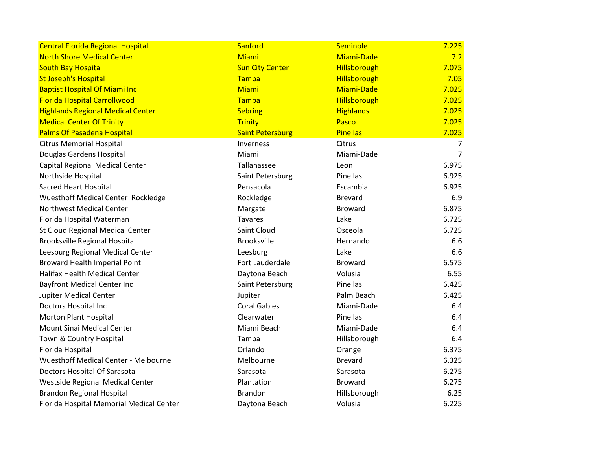| <b>Central Florida Regional Hospital</b>    | Sanford                 | Seminole         | 7.225          |
|---------------------------------------------|-------------------------|------------------|----------------|
| <b>North Shore Medical Center</b>           | Miami                   | Miami-Dade       | 7.2            |
| <b>South Bay Hospital</b>                   | <b>Sun City Center</b>  | Hillsborough     | 7.075          |
| <b>St Joseph's Hospital</b>                 | Tampa                   | Hillsborough     | 7.05           |
| <b>Baptist Hospital Of Miami Inc</b>        | Miami                   | Miami-Dade       | 7.025          |
| <b>Florida Hospital Carrollwood</b>         | Tampa                   | Hillsborough     | 7.025          |
| <b>Highlands Regional Medical Center</b>    | <b>Sebring</b>          | <b>Highlands</b> | 7.025          |
| <b>Medical Center Of Trinity</b>            | <b>Trinity</b>          | Pasco            | 7.025          |
| <b>Palms Of Pasadena Hospital</b>           | <b>Saint Petersburg</b> | <b>Pinellas</b>  | 7.025          |
| <b>Citrus Memorial Hospital</b>             | Inverness               | Citrus           | 7              |
| Douglas Gardens Hospital                    | Miami                   | Miami-Dade       | $\overline{7}$ |
| Capital Regional Medical Center             | Tallahassee             | Leon             | 6.975          |
| Northside Hospital                          | Saint Petersburg        | Pinellas         | 6.925          |
| <b>Sacred Heart Hospital</b>                | Pensacola               | Escambia         | 6.925          |
| Wuesthoff Medical Center Rockledge          | Rockledge               | <b>Brevard</b>   | 6.9            |
| <b>Northwest Medical Center</b>             | Margate                 | <b>Broward</b>   | 6.875          |
| Florida Hospital Waterman                   | <b>Tavares</b>          | Lake             | 6.725          |
| St Cloud Regional Medical Center            | Saint Cloud             | Osceola          | 6.725          |
| <b>Brooksville Regional Hospital</b>        | <b>Brooksville</b>      | Hernando         | 6.6            |
| Leesburg Regional Medical Center            | Leesburg                | Lake             | 6.6            |
| <b>Broward Health Imperial Point</b>        | Fort Lauderdale         | <b>Broward</b>   | 6.575          |
| <b>Halifax Health Medical Center</b>        | Daytona Beach           | Volusia          | 6.55           |
| <b>Bayfront Medical Center Inc</b>          | Saint Petersburg        | Pinellas         | 6.425          |
| <b>Jupiter Medical Center</b>               | Jupiter                 | Palm Beach       | 6.425          |
| Doctors Hospital Inc                        | <b>Coral Gables</b>     | Miami-Dade       | 6.4            |
| <b>Morton Plant Hospital</b>                | Clearwater              | Pinellas         | 6.4            |
| Mount Sinai Medical Center                  | Miami Beach             | Miami-Dade       | 6.4            |
| Town & Country Hospital                     | Tampa                   | Hillsborough     | 6.4            |
| Florida Hospital                            | Orlando                 | Orange           | 6.375          |
| <b>Wuesthoff Medical Center - Melbourne</b> | Melbourne               | <b>Brevard</b>   | 6.325          |
| Doctors Hospital Of Sarasota                | Sarasota                | Sarasota         | 6.275          |
| Westside Regional Medical Center            | Plantation              | <b>Broward</b>   | 6.275          |
| <b>Brandon Regional Hospital</b>            | <b>Brandon</b>          | Hillsborough     | 6.25           |
| Florida Hospital Memorial Medical Center    | Daytona Beach           | Volusia          | 6.225          |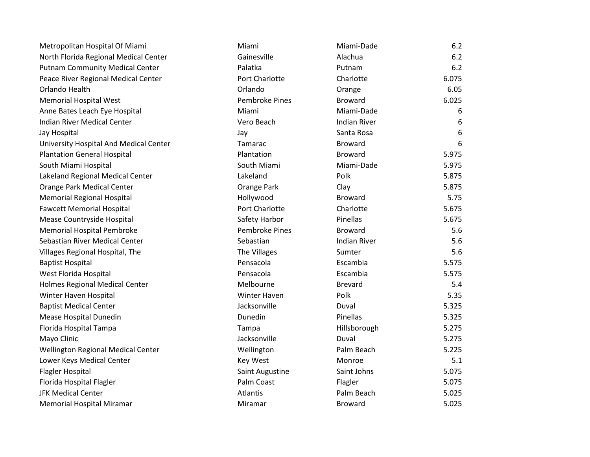| Metropolitan Hospital Of Miami         | Miami                 | Miami-Dade          | 6.2   |
|----------------------------------------|-----------------------|---------------------|-------|
| North Florida Regional Medical Center  | Gainesville           | Alachua             | 6.2   |
| <b>Putnam Community Medical Center</b> | Palatka               | Putnam              | 6.2   |
| Peace River Regional Medical Center    | Port Charlotte        | Charlotte           | 6.075 |
| Orlando Health                         | Orlando               | Orange              | 6.05  |
| <b>Memorial Hospital West</b>          | <b>Pembroke Pines</b> | <b>Broward</b>      | 6.025 |
| Anne Bates Leach Eye Hospital          | Miami                 | Miami-Dade          | 6     |
| <b>Indian River Medical Center</b>     | Vero Beach            | <b>Indian River</b> | 6     |
| Jay Hospital                           | Jay                   | Santa Rosa          | 6     |
| University Hospital And Medical Center | Tamarac               | <b>Broward</b>      | 6     |
| <b>Plantation General Hospital</b>     | Plantation            | <b>Broward</b>      | 5.975 |
| South Miami Hospital                   | South Miami           | Miami-Dade          | 5.975 |
| Lakeland Regional Medical Center       | Lakeland              | Polk                | 5.875 |
| Orange Park Medical Center             | Orange Park           | Clay                | 5.875 |
| <b>Memorial Regional Hospital</b>      | Hollywood             | <b>Broward</b>      | 5.75  |
| <b>Fawcett Memorial Hospital</b>       | Port Charlotte        | Charlotte           | 5.675 |
| Mease Countryside Hospital             | Safety Harbor         | Pinellas            | 5.675 |
| <b>Memorial Hospital Pembroke</b>      | <b>Pembroke Pines</b> | <b>Broward</b>      | 5.6   |
| Sebastian River Medical Center         | Sebastian             | <b>Indian River</b> | 5.6   |
| Villages Regional Hospital, The        | The Villages          | Sumter              | 5.6   |
| <b>Baptist Hospital</b>                | Pensacola             | Escambia            | 5.575 |
| West Florida Hospital                  | Pensacola             | Escambia            | 5.575 |
| <b>Holmes Regional Medical Center</b>  | Melbourne             | <b>Brevard</b>      | 5.4   |
| Winter Haven Hospital                  | <b>Winter Haven</b>   | Polk                | 5.35  |
| <b>Baptist Medical Center</b>          | Jacksonville          | Duval               | 5.325 |
| Mease Hospital Dunedin                 | Dunedin               | Pinellas            | 5.325 |
| Florida Hospital Tampa                 | Tampa                 | Hillsborough        | 5.275 |
| Mayo Clinic                            | Jacksonville          | Duval               | 5.275 |
| Wellington Regional Medical Center     | Wellington            | Palm Beach          | 5.225 |
| Lower Keys Medical Center              | <b>Key West</b>       | Monroe              | 5.1   |
| <b>Flagler Hospital</b>                | Saint Augustine       | Saint Johns         | 5.075 |
| Florida Hospital Flagler               | Palm Coast            | Flagler             | 5.075 |
| <b>JFK Medical Center</b>              | <b>Atlantis</b>       | Palm Beach          | 5.025 |
| <b>Memorial Hospital Miramar</b>       | Miramar               | <b>Broward</b>      | 5.025 |
|                                        |                       |                     |       |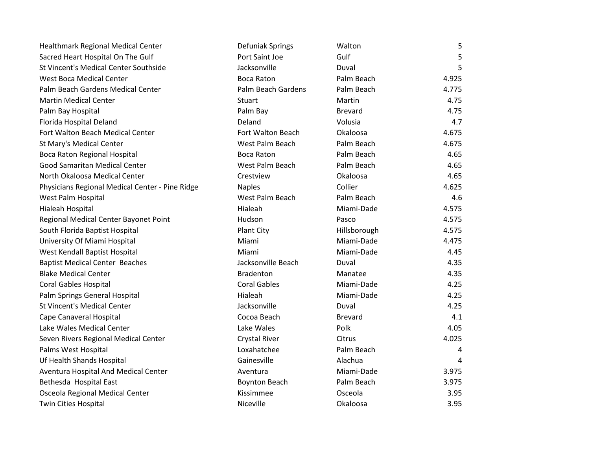| Healthmark Regional Medical Center              | Defuniak Springs     | Walton         | 5     |
|-------------------------------------------------|----------------------|----------------|-------|
| Sacred Heart Hospital On The Gulf               | Port Saint Joe       | Gulf           | 5     |
| St Vincent's Medical Center Southside           | Jacksonville         | Duval          | 5     |
| <b>West Boca Medical Center</b>                 | <b>Boca Raton</b>    | Palm Beach     | 4.925 |
| Palm Beach Gardens Medical Center               | Palm Beach Gardens   | Palm Beach     | 4.775 |
| <b>Martin Medical Center</b>                    | <b>Stuart</b>        | Martin         | 4.75  |
| Palm Bay Hospital                               | Palm Bay             | <b>Brevard</b> | 4.75  |
| Florida Hospital Deland                         | Deland               | Volusia        | 4.7   |
| Fort Walton Beach Medical Center                | Fort Walton Beach    | Okaloosa       | 4.675 |
| St Mary's Medical Center                        | West Palm Beach      | Palm Beach     | 4.675 |
| Boca Raton Regional Hospital                    | <b>Boca Raton</b>    | Palm Beach     | 4.65  |
| Good Samaritan Medical Center                   | West Palm Beach      | Palm Beach     | 4.65  |
| North Okaloosa Medical Center                   | Crestview            | Okaloosa       | 4.65  |
| Physicians Regional Medical Center - Pine Ridge | <b>Naples</b>        | Collier        | 4.625 |
| West Palm Hospital                              | West Palm Beach      | Palm Beach     | 4.6   |
| Hialeah Hospital                                | Hialeah              | Miami-Dade     | 4.575 |
| Regional Medical Center Bayonet Point           | Hudson               | Pasco          | 4.575 |
| South Florida Baptist Hospital                  | Plant City           | Hillsborough   | 4.575 |
| University Of Miami Hospital                    | Miami                | Miami-Dade     | 4.475 |
| West Kendall Baptist Hospital                   | Miami                | Miami-Dade     | 4.45  |
| <b>Baptist Medical Center Beaches</b>           | Jacksonville Beach   | Duval          | 4.35  |
| <b>Blake Medical Center</b>                     | <b>Bradenton</b>     | Manatee        | 4.35  |
| <b>Coral Gables Hospital</b>                    | <b>Coral Gables</b>  | Miami-Dade     | 4.25  |
| Palm Springs General Hospital                   | Hialeah              | Miami-Dade     | 4.25  |
| <b>St Vincent's Medical Center</b>              | Jacksonville         | Duval          | 4.25  |
| Cape Canaveral Hospital                         | Cocoa Beach          | <b>Brevard</b> | 4.1   |
| Lake Wales Medical Center                       | Lake Wales           | Polk           | 4.05  |
| Seven Rivers Regional Medical Center            | Crystal River        | Citrus         | 4.025 |
| Palms West Hospital                             | Loxahatchee          | Palm Beach     | 4     |
| Uf Health Shands Hospital                       | Gainesville          | Alachua        | 4     |
| Aventura Hospital And Medical Center            | Aventura             | Miami-Dade     | 3.975 |
| Bethesda Hospital East                          | <b>Boynton Beach</b> | Palm Beach     | 3.975 |
| Osceola Regional Medical Center                 | Kissimmee            | Osceola        | 3.95  |
| Twin Cities Hospital                            | Niceville            | Okaloosa       | 3.95  |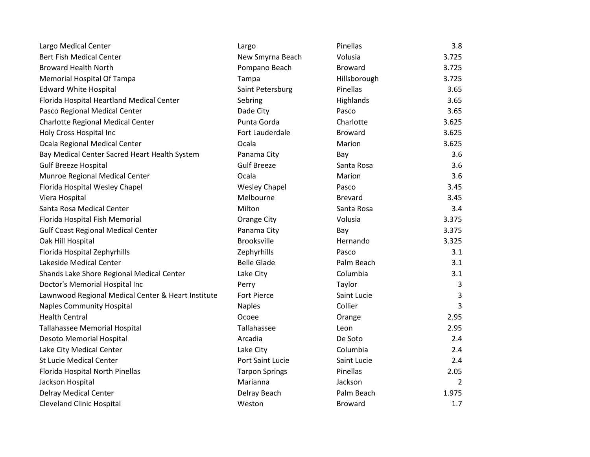| Largo Medical Center                               | Largo                 | Pinellas       | 3.8            |
|----------------------------------------------------|-----------------------|----------------|----------------|
| <b>Bert Fish Medical Center</b>                    | New Smyrna Beach      | Volusia        | 3.725          |
| <b>Broward Health North</b>                        | Pompano Beach         | <b>Broward</b> | 3.725          |
| <b>Memorial Hospital Of Tampa</b>                  | Tampa                 | Hillsborough   | 3.725          |
| <b>Edward White Hospital</b>                       | Saint Petersburg      | Pinellas       | 3.65           |
| Florida Hospital Heartland Medical Center          | Sebring               | Highlands      | 3.65           |
| Pasco Regional Medical Center                      | Dade City             | Pasco          | 3.65           |
| Charlotte Regional Medical Center                  | Punta Gorda           | Charlotte      | 3.625          |
| Holy Cross Hospital Inc                            | Fort Lauderdale       | <b>Broward</b> | 3.625          |
| Ocala Regional Medical Center                      | Ocala                 | Marion         | 3.625          |
| Bay Medical Center Sacred Heart Health System      | Panama City           | Bay            | 3.6            |
| <b>Gulf Breeze Hospital</b>                        | <b>Gulf Breeze</b>    | Santa Rosa     | 3.6            |
| Munroe Regional Medical Center                     | Ocala                 | Marion         | 3.6            |
| Florida Hospital Wesley Chapel                     | <b>Wesley Chapel</b>  | Pasco          | 3.45           |
| Viera Hospital                                     | Melbourne             | <b>Brevard</b> | 3.45           |
| Santa Rosa Medical Center                          | Milton                | Santa Rosa     | 3.4            |
| Florida Hospital Fish Memorial                     | <b>Orange City</b>    | Volusia        | 3.375          |
| <b>Gulf Coast Regional Medical Center</b>          | Panama City           | Bay            | 3.375          |
| Oak Hill Hospital                                  | <b>Brooksville</b>    | Hernando       | 3.325          |
| Florida Hospital Zephyrhills                       | Zephyrhills           | Pasco          | 3.1            |
| Lakeside Medical Center                            | <b>Belle Glade</b>    | Palm Beach     | 3.1            |
| Shands Lake Shore Regional Medical Center          | Lake City             | Columbia       | 3.1            |
| Doctor's Memorial Hospital Inc                     | Perry                 | Taylor         | 3              |
| Lawnwood Regional Medical Center & Heart Institute | Fort Pierce           | Saint Lucie    | 3              |
| <b>Naples Community Hospital</b>                   | <b>Naples</b>         | Collier        | 3              |
| <b>Health Central</b>                              | Ocoee                 | Orange         | 2.95           |
| Tallahassee Memorial Hospital                      | Tallahassee           | Leon           | 2.95           |
| Desoto Memorial Hospital                           | Arcadia               | De Soto        | 2.4            |
| Lake City Medical Center                           | Lake City             | Columbia       | 2.4            |
| <b>St Lucie Medical Center</b>                     | Port Saint Lucie      | Saint Lucie    | 2.4            |
| Florida Hospital North Pinellas                    | <b>Tarpon Springs</b> | Pinellas       | 2.05           |
| Jackson Hospital                                   | Marianna              | Jackson        | $\overline{2}$ |
| <b>Delray Medical Center</b>                       | Delray Beach          | Palm Beach     | 1.975          |
| <b>Cleveland Clinic Hospital</b>                   | Weston                | <b>Broward</b> | 1.7            |